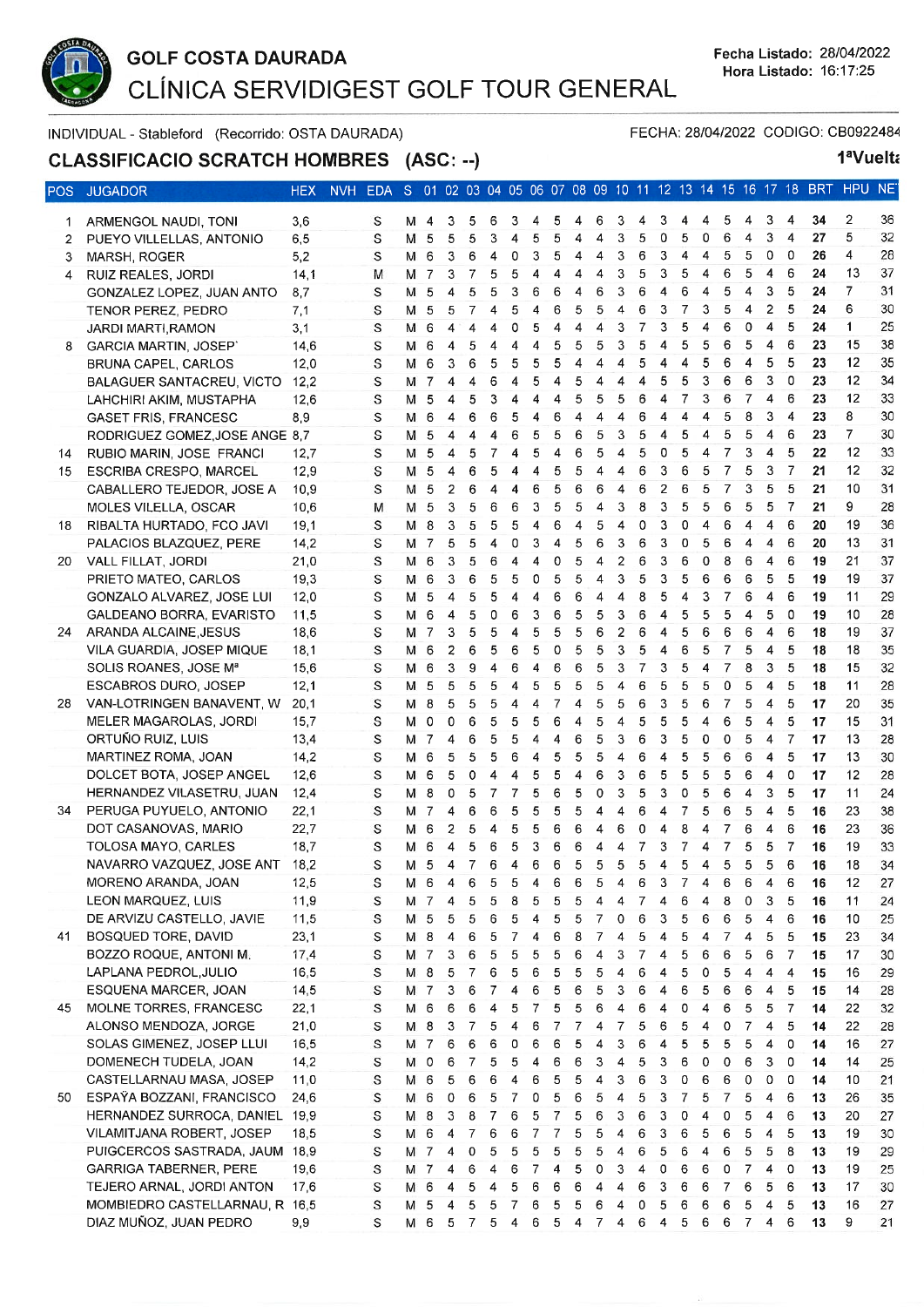

1ªVuelta

FECHA: 28/04/2022 CODIGO: CB0922484

INDIVIDUAL - Stableford (Recorrido: OSTA DAURADA)

CLASSIFICACIO SCRATCH HOMBRES (ASC: --)

| ∍os            | <b>JUGADOR</b>                 | HEX  | NVH EDA S 01 02 03 04 05 06 07 08 09 10 11 12 13 14 15 16 17 18 BRT |     |                |                         |    |   |                  |                         |                |                |   |                |                |    |                |       |                |                |                         |                |    | <b>HPUN</b>    |                   |
|----------------|--------------------------------|------|---------------------------------------------------------------------|-----|----------------|-------------------------|----|---|------------------|-------------------------|----------------|----------------|---|----------------|----------------|----|----------------|-------|----------------|----------------|-------------------------|----------------|----|----------------|-------------------|
| 1              | ARMENGOL NAUDI, TONI           | 3,6  | S                                                                   |     | M 4            | 3                       | 5  | 6 | 3                | 4                       | 5              | 4              | 6 | 3              |                | 3  |                |       | 5              | 4              | 3                       | 4              | 34 | 2              | 36                |
| $\overline{2}$ | PUEYO VILLELLAS, ANTONIO       | 6,5  | S                                                                   | м   | 5              | 5                       | 5  | 3 | 4                | 5                       | 5              | 4              | 4 | 3              | 5              | 0  | 5              | 0     | 6              | 4              | 3                       | 4              | 27 | 5              | 32                |
| 3              | MARSH, ROGER                   | 5,2  | S                                                                   | M 6 |                | 3                       | 6  | 4 | 0                | 3                       | 5              | 4              | 4 | 3              | 6              | 3  | 4              | 4     | 5              | 5              | 0                       | 0              | 26 | 4              | 28                |
| 4              | RUIZ REALES, JORDI             | 14,1 | M                                                                   |     | M 7            | 3                       | 7  | 5 | 5                | 4                       | 4              | 4              | 4 | 3              | 5              | 3  | 5              | 4     | 6              | 5              | 4                       | 6              | 24 | 13             | $3^{\circ}$       |
|                | GONZALEZ LOPEZ, JUAN ANTO      | 8,7  | S                                                                   | м   | 5              | 4                       | 5  | 5 | 3                | 6                       | 6              | 4              | 6 | 3              | 6              | 4  | 6              | 4     | 5              | 4              | 3                       | 5              | 24 | $\overline{7}$ | 3 <sup>1</sup>    |
|                | TENOR PEREZ, PEDRO             | 7,1  | S                                                                   | м   | 5              | 5                       | 7  | 4 | 5                | 4                       | 6              | 5              | 5 | 4              | 6              | 3  | $\overline{7}$ | 3     | 5              | 4              | 2                       | 5              | 24 | 6              | 3                 |
|                | JARDI MARTI, RAMON             | 3,1  | S                                                                   | м   | 6              | 4                       | 4  | 4 | 0                | 5                       | 4              | 4              | 4 | 3              | 7              | 3  | 5              | 4     | 6              | 0              | 4                       | 5              | 24 | $\mathbf{1}$   | 2!                |
| 8              | <b>GARCIA MARTIN, JOSEP'</b>   | 14,6 | S                                                                   | м   | 6              | 4                       | 5  | 4 | 4                | 4                       | 5              | 5              | 5 | 3              | 5              | 4  | 5              | 5     | 6              | 5              | 4                       | 6              | 23 | 15             | 38                |
|                | BRUNA CAPEL, CARLOS            | 12.0 | S                                                                   | м   | 6              | 3                       | 6  | 5 | 5                | 5                       | 5              | 4              | 4 | 4              | 5              | 4  | 4              | 5     | 6              | 4              | 5                       | 5              | 23 | 12             | 35                |
|                | BALAGUER SANTACREU, VICTO      | 12,2 | S                                                                   |     | M 7            | 4                       | 4  | 6 | 4                | 5                       | $\overline{4}$ | 5              | 4 | 4              | $\overline{4}$ | 5  | 5              | 3     | 6              | 6              | 3                       | 0              | 23 | 12             | 3 <sub>4</sub>    |
|                | LAHCHIRI AKIM, MUSTAPHA        | 12,6 | S                                                                   | м   | 5              | 4                       | 5  | 3 | 4                | 4                       | 4              | 5              | 5 | 5              | 6              | 4  | $\overline{7}$ | 3     | 6              | 7              | 4                       | 6              | 23 | 12             | 3 <sup>′</sup>    |
|                | <b>GASET FRIS, FRANCESC</b>    | 8,9  | S                                                                   | м   | 6              | 4                       | 6  | 6 | 5                | 4                       | 6              | 4              | 4 | 4              | 6              | 4  | 4              | 4     | 5              | 8              | 3                       | 4              | 23 | 8              | 3(                |
|                | RODRIGUEZ GOMEZ, JOSE ANGE 8,7 |      | S                                                                   | M   | 5              | 4                       | 4  | 4 | 6                | 5                       | 5              | 6              | 5 | 3              | 5              | 4  | 5              | 4     | 5              | 5              | 4                       | 6              | 23 | $\overline{7}$ | 3                 |
| 14             | RUBIO MARIN, JOSE FRANCI       | 12,7 | S                                                                   | M   | 5              | 4                       | 5  | 7 | 4                | 5                       | 4              | 6              | 5 | 4              | 5              | 0  | 5              | 4     | 7              | 3              | 4                       | 5              | 22 | 12             | 3 <sup>′</sup>    |
| 15             | ESCRIBA CRESPO, MARCEL         | 12,9 | S                                                                   | м   | 5              | 4                       | 6  | 5 | 4                | 4                       | 5              | 5              | 4 | 4              | 6              | 3  | 6              | 5     | $\overline{7}$ | 5              | 3                       | 7              | 21 | 12             | 3'                |
|                | CABALLERO TEJEDOR, JOSE A      | 10,9 | S                                                                   | м   | 5              | $\overline{2}$          | 6  | 4 | 4                | 6                       | 5              | 6              | 6 | 4              | 6              | 2  | 6              | 5     | $\overline{7}$ | 3              | 5                       | 5              | 21 | 10             | 3 <sup>1</sup>    |
|                | MOLES VILELLA, OSCAR           | 10,6 | м                                                                   | M   | 5              | 3                       | 5  | 6 | 6                | 3                       | 5              | 5              | 4 | 3              | 8              | 3  | 5              | 5     | 6              | 5              | 5                       | 7              | 21 | 9              | 28                |
| 18             | RIBALTA HURTADO, FCO JAVI      | 19,1 | S                                                                   | M   | 8              | 3                       | 5  | 5 | 5                | $\overline{\mathbf{4}}$ | 6              | $\overline{4}$ | 5 | 4              | 0              | 3  | 0              | 4     | 6              | 4              | 4                       | 6              | 20 | 19             | 36                |
|                | PALACIOS BLAZQUEZ, PERE        | 14,2 | S                                                                   |     | M 7            | 5                       | 5  | 4 | 0                | 3                       | 4              | 5              | 6 | 3              | 6              | 3  | 0              | 5     | 6              | $\overline{4}$ | 4                       | 6              | 20 | 13             | 3'                |
| 20             | VALL FILLAT, JORDI             | 21,0 | S                                                                   | M   | 6              | 3                       | 5  | 6 | 4                | $\overline{4}$          | 0              | 5              | 4 | $\overline{2}$ | 6              | 3  | 6              | 0     | 8              | 6              | 4                       | 6              | 19 | 21             | 3                 |
|                | PRIETO MATEO, CARLOS           | 19,3 | S                                                                   | м   | 6              | 3                       | 6  | 5 | 5                | 0                       | 5              | 5              | 4 | 3              | 5              | 3  | 5              | 6     | 6              | 6              | 5                       | 5              | 19 | 19             | 3                 |
|                | GONZALO ALVAREZ, JOSE LUI      | 12,0 | S                                                                   | м   | 5              | 4                       | 5  | 5 | 4                | 4                       | 6              | 6              | 4 | 4              | 8              | 5  | 4              | 3     | 7              | 6              | 4                       | 6              | 19 | 11             | 29                |
|                | GALDEANO BORRA, EVARISTO       | 11,5 | S                                                                   | м   | 6              | 4                       | 5  | 0 | 6                | 3                       | 6              | 5              | 5 | 3              | 6              | 4  | 5              | 5     | 5              | 4              | 5                       | 0              | 19 | 10             | 28                |
| 24             | ARANDA ALCAINE, JESUS          | 18,6 | S                                                                   | M   | $\overline{7}$ | 3                       | 5  | 5 | 4                | 5                       | 5              | 5              | 6 | 2              | 6              | 4  | 5              | 6     | 6              | 6              | 4                       | 6              | 18 | 19             | 3 <sup>7</sup>    |
|                | VILA GUARDIA, JOSEP MIQUE      | 18,1 | S                                                                   | м   | 6              | $\overline{\mathbf{c}}$ | 6  | 5 | 6                | 5                       | 0              | 5              | 5 | 3              | 5              | 4  | 6              | 5     | 7              | 5              | 4                       | 5              | 18 | 18             | 3!                |
|                | SOLIS ROANES, JOSE Mª          | 15,6 | S                                                                   | м   | 6              | 3                       | 9  | 4 | 6                | 4                       | 6              | 6              | 5 | 3              | 7              | 3  | 5              | 4     | 7              | 8              | 3                       | 5              | 18 | 15             | 3 <sub>i</sub>    |
|                | ESCABROS DURO, JOSEP           | 12,1 | S                                                                   | м   | 5              | 5                       | 5  | 5 | 4                | 5                       | 5              | 5              | 5 | 4              | 6              | 5  | 5              | 5     | 0              | 5              | $\overline{\mathbf{4}}$ | 5              | 18 | 11             | 28                |
| 28             | VAN-LOTRINGEN BANAVENT, W      | 20,1 | S                                                                   | M   | 8              | 5                       | 5  | 5 | 4                | 4                       | $\overline{7}$ | 4              | 5 | 5              | 6              | 3  | 5              | 6     | $\overline{7}$ | 5              | 4                       | 5              | 17 | 20             | 35                |
|                | MELER MAGAROLAS, JORDI         | 15,7 | S                                                                   | M O |                | 0                       | 6  | 5 | 5                | 5                       | 6              | 4              | 5 | $\overline{4}$ | 5              | 5  | 5              | 4     | 6              | 5              | 4                       | 5              | 17 | 15             | 3 <sup>7</sup>    |
|                | ORTUÑO RUIZ, LUIS              | 13,4 | S                                                                   |     | M 7            | 4                       | 6  | 5 | 5                | 4                       | 4              | 6              | 5 | 3              | 6              | 3  | 5              | 0     | 0              | 5              | 4                       | 7              | 17 | 13             | 28                |
|                | MARTINEZ ROMA, JOAN            | 14,2 | S                                                                   | м   | 6              | 5                       | 5  | 5 | 6                | 4                       | 5              | 5              | 5 | 4              | 6              | 4  | 5              | 5     | 6              | 6              | 4                       | 5              | 17 | 13             | 3 <sub>0</sub>    |
|                | DOLCET BOTA, JOSEP ANGEL       | 12,6 | S                                                                   | м   | 6              | 5                       | 0  | 4 | 4                | 5                       | 5              | 4              | 6 | 3              | 6              | 5  | 5              | 5     | 5              | 6              | 4                       | 0              | 17 | 12             | 28                |
|                | HERNANDEZ VILASETRU, JUAN      | 12,4 | S                                                                   | м   | 8              | 0                       | 5  | 7 | 7                | 5                       | 6              | 5              | 0 | 3              | 5              | 3  | 0              | 5     | 6              | 4              | 3                       | 5              | 17 | 11             | 2 <sub>4</sub>    |
| 34             | PERUGA PUYUELO, ANTONIO        | 22,1 | S                                                                   |     | M 7            | 4                       | 6  | 6 | 5                | 5                       | 5              | 5              | 4 | 4              | 6              | 4  | $\overline{7}$ | 5     | 6              | 5              | 4                       | 5              | 16 | 23             | 38                |
|                | DOT CASANOVAS, MARIO           | 22,7 | S                                                                   |     | M 6            | 2                       | 5  | 4 | 5                | 5                       | 6              | 6              | 4 | 6              | $\mathbf 0$    | 4  | 8              | 4     | 7              | 6              | 4                       | 6              | 16 | 23             | 36                |
|                | TOLOSA MAYO, CARLES            | 18,7 | S                                                                   | м   | -6             | 4                       | 5  | 6 | 5                | 3                       | 6              | 6              | 4 | 4              | 7              | 3  | 7              | 4     | 7              | 5              | 5                       | $\overline{7}$ | 16 | 19             | 3.                |
|                | NAVARRO VAZQUEZ, JOSE ANT      | 18,2 | S                                                                   | M   | 5              | 4                       | 7  | 6 | 4                | 6                       | 6              | 5              | 5 | 5              | 5              | 4  | 5              | 4     | 5              | 5              | 5                       | 6              | 16 | 18             | 3 <sub>4</sub>    |
|                | MORENO ARANDA, JOAN            | 12,5 | S                                                                   |     | M 6            | $\boldsymbol{\Lambda}$  | 6. |   |                  |                         |                | 5 5 4 6 6 5 4  |   |                | 6.             | 3. |                | 7 4 6 |                | 646            |                         |                | 16 | 12             | $2^{\frac{1}{2}}$ |
|                | <b>LEON MARQUEZ, LUIS</b>      | 11,9 | S                                                                   |     | M 7            | 4                       | 5  | 5 | 8                | 5                       | 5              | 5              | 4 | 4              | 7              | 4  | 6              | 4     | 8              | 0              | 3                       | 5              | 16 | 11             | 2 <sup>2</sup>    |
|                | DE ARVIZU CASTELLO, JAVIE      | 11,5 | S                                                                   | M   | 5              | 5                       | 5  | 6 | 5                | 4                       | 5              | 5              | 7 | 0              | 6              | 3  | 5              | 6     | 6              | 5              | 4                       | 6              | 16 | 10             | 25                |
| 41             | BOSQUED TORE, DAVID            | 23,1 | S                                                                   | M 8 |                | 4                       | 6  | 5 | $\boldsymbol{7}$ | 4                       | 6              | 8              | 7 | 4              | 5              | 4  | 5              | 4     | 7              | 4              | 5                       | 5              | 15 | 23             | 34                |
|                | BOZZO ROQUE, ANTONI M.         | 17.4 | S                                                                   |     | M 7            | 3                       | 6  | 5 | 5                | 5                       | 5              | 6              | 4 | 3              | 7              | 4  | 5              | 6     | 6              | 5              | 6                       | 7              | 15 | 17             | 3 <sup>0</sup>    |
|                | LAPLANA PEDROL, JULIO          | 16,5 | S                                                                   | M 8 |                | 5                       | 7  | 6 | 5                | 6                       | 5              | 5              | 5 | 4              | 6              | 4  | 5              | 0     | 5              | 4              | 4                       | 4              | 15 | 16             | 29                |
|                | ESQUENA MARCER, JOAN           | 14,5 | S                                                                   |     | M 7            | 3                       | 6  | 7 | 4                | 6                       | 5              | 6              | 5 | 3              | 6              | 4  | 6              | 5     | 6              | 6              | 4                       | 5              | 15 | 14             | 28                |
| 45             | MOLNE TORRES, FRANCESC         | 22,1 | S                                                                   | M 6 |                | 6                       | 6  | 4 | 5                | 7                       | 5              | 5              | 6 | 4              | 6              | 4  | 0              | 4     | 6              | 5              | 5                       | $\overline{7}$ | 14 | 22             | 3'                |
|                | ALONSO MENDOZA, JORGE          | 21,0 | S                                                                   | M 8 |                | 3                       | 7  | 5 | 4                | 6                       | 7              | 7              | 4 | 7              | 5              | 6  | 5              | 4     | 0              | $\overline{7}$ | 4                       | 5              | 14 | 22             | 28                |
|                | SOLAS GIMENEZ, JOSEP LLUI      | 16,5 | S                                                                   |     | M 7            | 6                       | 6  | 6 | 0                | 6                       | 6              | 5              | 4 | 3              | 6              | 4  | 5              | 5     | 5              | 5              | 4                       | 0              | 14 | 16             | 2 <sup>7</sup>    |
|                | DOMENECH TUDELA, JOAN          | 14,2 | S                                                                   |     | M O            | 6                       | 7  | 5 | 5                | 4                       | 6              | 6              | 3 | 4              | 5              | 3  | 6              | 0     | 0              | 6              | 3                       | 0              | 14 | 14             | 25                |
|                | CASTELLARNAU MASA, JOSEP       | 11,0 | S                                                                   | M 6 |                | 5                       | 6  | 6 | 4                | 6                       | 5              | 5              | 4 | 3              | 6              | 3  | 0              | 6     | 6              | 0              | 0                       | 0              | 14 | 10             | $2^{\circ}$       |
| 50             | ESPAŸA BOZZANI, FRANCISCO      | 24,6 | S                                                                   |     | M 6            | 0                       | 6  | 5 | $\overline{7}$   | 0                       | 5              | 6              | 5 | 4              | 5              | 3  | 7              | 5     | $\overline{7}$ | 5              | 4                       | 6              | 13 | 26             | 35                |
|                | HERNANDEZ SURROCA, DANIEL 19,9 |      | S                                                                   | M 8 |                | 3                       | 8  | 7 | 6                | 5                       | $\overline{7}$ | 5              | 6 | 3              | 6              | 3  | 0              | 4     | 0              | 5              | 4                       | 6              | 13 | 20             | 2 <sub>1</sub>    |
|                | VILAMITJANA ROBERT, JOSEP      | 18,5 | S                                                                   | M 6 |                | 4                       | 7  | 6 | 6                | $\overline{7}$          | $\overline{7}$ | 5              | 5 | 4              | 6              | 3  | 6              | 5     | 6              | 5              | 4                       | 5              | 13 | 19             | 3 <sup>0</sup>    |
|                | PUIGCERCOS SASTRADA, JAUM      | 18,9 | S                                                                   | M 7 |                | 4                       | 0  | 5 | 5                | 5                       | 5              | 5              | 5 | 4              | 6              | 5  | 6              | 4     | 6              | 5              | 5                       | 8              | 13 | 19             | 29                |
|                | <b>GARRIGA TABERNER, PERE</b>  | 19,6 | S                                                                   | M 7 |                | 4                       | 6  | 4 | 6                | 7                       | 4              | 5              | 0 | 3              | 4              | 0  | 6              | 6     | 0              | $\overline{7}$ | 4                       | 0              | 13 | 19             | 25                |
|                | TEJERO ARNAL, JORDI ANTON      | 17,6 | S                                                                   | M   | 6              | 4                       | 5  | 4 | 5                | 6                       | 6              | 6              | 4 | 4              | 6              | 3  | 6              | 6     | 7              | 6              | 5                       | 6              | 13 | 17             | 3(                |
|                | MOMBIEDRO CASTELLARNAU, R 16,5 |      | S                                                                   | М   | 5              | 4                       | 5  | 5 | 7                | 6                       | 5              | 5              | 6 | 4              | 0              | 5  | 6              | 6     | 6              | 5              | 4                       | -5             | 13 | 16             | 27                |
|                | DIAZ MUÑOZ, JUAN PEDRO         | 9,9  | S                                                                   | M   | 6              | 5                       |    |   | 4                | 6                       | 5              | 4              | 7 | 4              | 6              | 4  | 5              | 6     | 6              | 7              | 4                       | 6              | 13 | 9              | $2^{\cdot}$       |
|                |                                |      |                                                                     |     |                |                         |    |   |                  |                         |                |                |   |                |                |    |                |       |                |                |                         |                |    |                |                   |